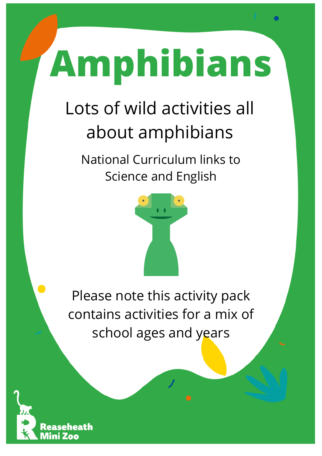## **Amphibians**

### Lots of wild activities all about amphibians

National Curriculum links to Science and English



Please note this activity pack contains activities for a mix of school ages and years

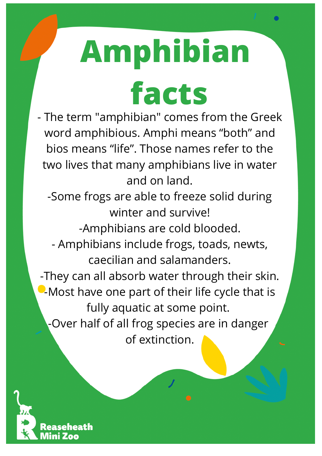# **Amphibian**

**facts**

- The term "amphibian" comes from the Greek word amphibious. Amphi means "both" and bios means "life". Those names refer to the two lives that many amphibians live in water and on land.

-Some frogs are able to freeze solid during winter and survive!

-Amphibians are cold blooded.

- Amphibians include frogs, toads, newts, caecilian and salamanders.

-They can all absorb water through their skin. **-Most have one part of their life cycle that is** fully aquatic at some point. -Over half of all frog species are in danger

of extinction.

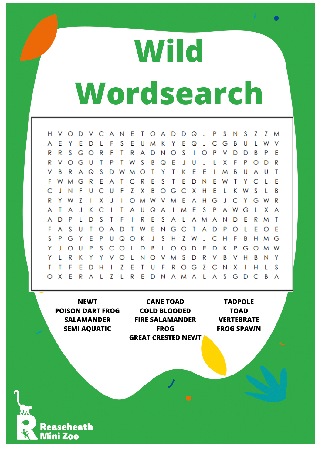### **Wild Wordsearch**

 $H$ E T D  $\Omega$ S V  $\circ$ D V C A N  $\circ$ A D J P N S Z Z M F S E E Ľ E E D U M K Y  $\Omega$ J Ċ G B U W V A Υ  $\mathbf{I}$ R R S G  $\circ$ R F T R  $\overline{A}$ D N  $\circ$ S T  $\circ$ P  $\vee$ D D B P E S R ٧  $\circ$ G U T P T W B Q E J U J L X F P  $\circ$ D  $\mathsf{R}$ E E S  $\circ$ T Y T K B U T ٧ B R A Q D W M I M A U G  $\mathsf{R}$ E  $\mathsf{R}$ E S T E D E T Y  $\mathsf{C}$ E F W M A T  $\mathsf{C}$ N W L F  $\mathsf{C}$ Z X B  $\mathsf{C}$ S C J N U U F  $\circ$ G Х  $H$ E L Κ W T B E  $\overline{7}$ X A  $H$ G  $\overline{C}$  $\mathsf{R}$ R Y W  $\overline{\phantom{a}}$ J  $\circ$ M J Y G I W V M W C E S A Т A J K  $\mathsf{I}$ T A U Q A  $\overline{\phantom{a}}$ M P A W G L X A A D P L D S T F 1 R E S A L  $\overline{\mathsf{A}}$ M A N D E  $\mathsf{R}$ M T F S E G  $\mathsf{C}$  $\mathsf{T}$  $\mathbf{L}$ F F  $\cup$  $\mathsf{T}$  $\circ$ A D T W N A D P  $\circ$ A  $\Omega$ Z S P G E P Q K J S  $H$ Ċ F B Y U  $\circ$ W J Н Н G M Y  $\circ$ P S  $\mathsf{C}$  $\circ$ D B  $\circ$  $\circ$ D E D K P G  $\circ$ W J U L L M Y  $\mathsf{R}$ K Y O L N  $\circ$ V M S D  $\mathsf{R}$ V B H B N Y L Y v ٧ E F Z  $\overline{C}$ T T F E Z T  $\mathsf{R}$ G S D U  $\circ$ N x T Н  $H$ 1 L  $\Omega$ X E R Z  $\mathbf{I}$ R E D  $\mathsf{L}$ A S G D  $\mathsf{C}$ B Α N A  $\mathsf{M}$ A A

**NEWT POISON DART FROG SALAMANDER SEMI AQUATIC**

**CANE TOAD COLD BLOODED FIRE SALAMANDER FROG GREAT CRESTED NEWT**

**TADPOLE TOAD VERTEBRATE FROG SPAWN**

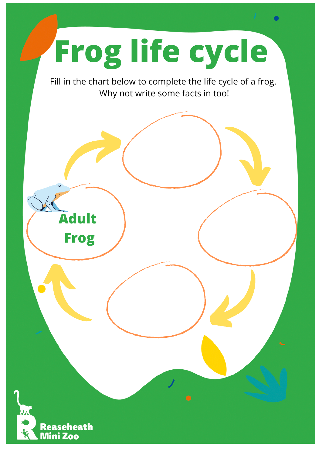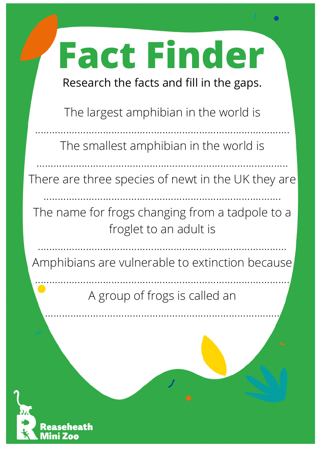## **Fact Finder**

Research the facts and fill in the gaps.

The largest amphibian in the world is

The smallest amphibian in the world is

..........................................................................................

There are three species of newt in the UK they are

....................................................................................

.........................................................................................

The name for frogs changing from a tadpole to a froglet to an adult is

Amphibians are vulnerable to extinction because

........................................................................................

.......................................................................................... A group of frogs is called an

...................................................................................

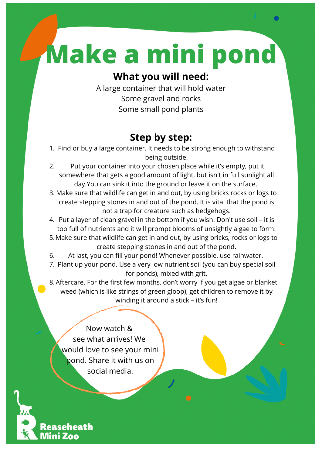### **Make a mini pond**

#### **What you will need:**

A large container that will hold water Some gravel and rocks Some small pond plants

#### **Step by step:**

- 1. Find or buy a large container. It needs to be strong enough to withstand being outside.
- Put your container into your chosen place while it's empty, put it somewhere that gets a good amount of light, but isn't in full sunlight all day.You can sink it into the ground or leave it on the surface. 2.
- Make sure that wildlife can get in and out, by using bricks rocks or logs to 3. create stepping stones in and out of the pond. It is vital that the pond is not a trap for creature such as hedgehogs.
- 4. Put a layer of clean gravel in the bottom if you wish. Don't use soil it is too full of nutrients and it will prompt blooms of unsightly algae to form.
- Make sure that wildlife can get in and out, by using bricks, rocks or logs to 5. create stepping stones in and out of the pond.
- At last, you can fill your pond! Whenever possible, use rainwater. 6.
- Plant up your pond. Use a very low nutrient soil (you can buy special soil 7. for ponds), mixed with grit.

Aftercare. For the first few months, don't worry if you get algae or blanket 8. weed (which is like strings of green gloop), get children to remove it by winding it around a stick - it's fun!

Now watch & see what arrives! We would love to see your mini pond. Share it with us on social media.

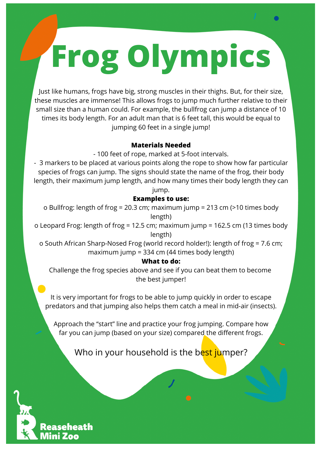## **Frog Olympics**

Just like humans, frogs have big, strong muscles in their thighs. But, for their size, these muscles are immense! This allows frogs to jump much further relative to their small size than a human could. For example, the bullfrog can jump a distance of 10 times its body length. For an adult man that is 6 feet tall, this would be equal to jumping 60 feet in a single jump!

#### **Materials Needed**

- 100 feet of rope, marked at 5-foot intervals.

- 3 markers to be placed at various points along the rope to show how far particular species of frogs can jump. The signs should state the name of the frog, their body length, their maximum jump length, and how many times their body length they can jump.

#### **Examples to use:**

o Bullfrog: length of frog = 20.3 cm; maximum jump = 213 cm (>10 times body length)

o Leopard Frog: length of frog = 12.5 cm; maximum jump = 162.5 cm (13 times body length)

o South African Sharp-Nosed Frog (world record holder!): length of frog = 7.6 cm; maximum jump = 334 cm (44 times body length)

#### **What to do:**

Challenge the frog species above and see if you can beat them to become the best jumper!

It is very important for frogs to be able to jump quickly in order to escape predators and that jumping also helps them catch a meal in mid-air (insects).

Approach the "start" line and practice your frog jumping. Compare how far you can jump (based on your size) compared the different frogs.

#### Who in your household is the best jumper?